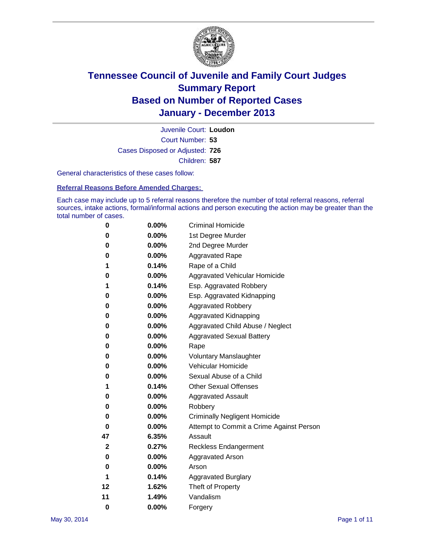

Court Number: **53** Juvenile Court: **Loudon** Cases Disposed or Adjusted: **726** Children: **587**

General characteristics of these cases follow:

**Referral Reasons Before Amended Charges:** 

Each case may include up to 5 referral reasons therefore the number of total referral reasons, referral sources, intake actions, formal/informal actions and person executing the action may be greater than the total number of cases.

| 0            | 0.00%    | <b>Criminal Homicide</b>                 |
|--------------|----------|------------------------------------------|
| 0            | 0.00%    | 1st Degree Murder                        |
| 0            | 0.00%    | 2nd Degree Murder                        |
| 0            | $0.00\%$ | <b>Aggravated Rape</b>                   |
| 1            | 0.14%    | Rape of a Child                          |
| 0            | 0.00%    | <b>Aggravated Vehicular Homicide</b>     |
| 1            | 0.14%    | Esp. Aggravated Robbery                  |
| 0            | 0.00%    | Esp. Aggravated Kidnapping               |
| 0            | $0.00\%$ | <b>Aggravated Robbery</b>                |
| 0            | 0.00%    | Aggravated Kidnapping                    |
| 0            | 0.00%    | Aggravated Child Abuse / Neglect         |
| 0            | 0.00%    | <b>Aggravated Sexual Battery</b>         |
| 0            | 0.00%    | Rape                                     |
| 0            | 0.00%    | <b>Voluntary Manslaughter</b>            |
| 0            | 0.00%    | Vehicular Homicide                       |
| 0            | 0.00%    | Sexual Abuse of a Child                  |
| 1            | 0.14%    | <b>Other Sexual Offenses</b>             |
| 0            | 0.00%    | <b>Aggravated Assault</b>                |
| 0            | 0.00%    | Robbery                                  |
| 0            | 0.00%    | <b>Criminally Negligent Homicide</b>     |
| 0            | 0.00%    | Attempt to Commit a Crime Against Person |
| 47           | 6.35%    | Assault                                  |
| $\mathbf{2}$ | 0.27%    | <b>Reckless Endangerment</b>             |
| 0            | 0.00%    | <b>Aggravated Arson</b>                  |
| 0            | 0.00%    | Arson                                    |
| 1            | 0.14%    | <b>Aggravated Burglary</b>               |
| 12           | 1.62%    | Theft of Property                        |
| 11           | 1.49%    | Vandalism                                |
| $\bf{0}$     | 0.00%    | Forgery                                  |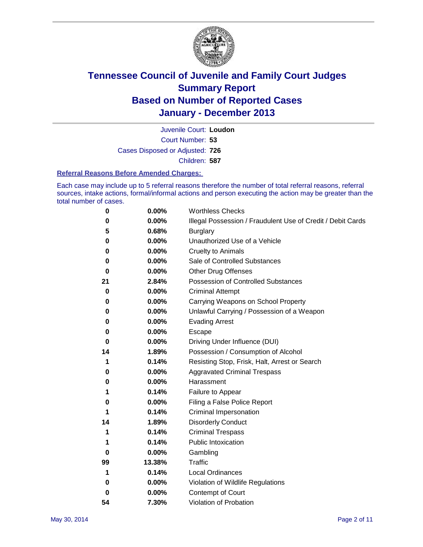

Court Number: **53** Juvenile Court: **Loudon** Cases Disposed or Adjusted: **726** Children: **587**

#### **Referral Reasons Before Amended Charges:**

Each case may include up to 5 referral reasons therefore the number of total referral reasons, referral sources, intake actions, formal/informal actions and person executing the action may be greater than the total number of cases.

| 0  | 0.00%  | <b>Worthless Checks</b>                                     |
|----|--------|-------------------------------------------------------------|
| 0  | 0.00%  | Illegal Possession / Fraudulent Use of Credit / Debit Cards |
| 5  | 0.68%  | <b>Burglary</b>                                             |
| 0  | 0.00%  | Unauthorized Use of a Vehicle                               |
| 0  | 0.00%  | <b>Cruelty to Animals</b>                                   |
| 0  | 0.00%  | Sale of Controlled Substances                               |
| 0  | 0.00%  | <b>Other Drug Offenses</b>                                  |
| 21 | 2.84%  | Possession of Controlled Substances                         |
| 0  | 0.00%  | <b>Criminal Attempt</b>                                     |
| 0  | 0.00%  | Carrying Weapons on School Property                         |
| 0  | 0.00%  | Unlawful Carrying / Possession of a Weapon                  |
| 0  | 0.00%  | <b>Evading Arrest</b>                                       |
| 0  | 0.00%  | Escape                                                      |
| 0  | 0.00%  | Driving Under Influence (DUI)                               |
| 14 | 1.89%  | Possession / Consumption of Alcohol                         |
| 1  | 0.14%  | Resisting Stop, Frisk, Halt, Arrest or Search               |
| 0  | 0.00%  | <b>Aggravated Criminal Trespass</b>                         |
| 0  | 0.00%  | Harassment                                                  |
| 1  | 0.14%  | Failure to Appear                                           |
| 0  | 0.00%  | Filing a False Police Report                                |
| 1  | 0.14%  | Criminal Impersonation                                      |
| 14 | 1.89%  | <b>Disorderly Conduct</b>                                   |
| 1  | 0.14%  | <b>Criminal Trespass</b>                                    |
| 1  | 0.14%  | <b>Public Intoxication</b>                                  |
| 0  | 0.00%  | Gambling                                                    |
| 99 | 13.38% | Traffic                                                     |
| 1  | 0.14%  | Local Ordinances                                            |
| 0  | 0.00%  | Violation of Wildlife Regulations                           |
| 0  | 0.00%  | Contempt of Court                                           |
| 54 | 7.30%  | Violation of Probation                                      |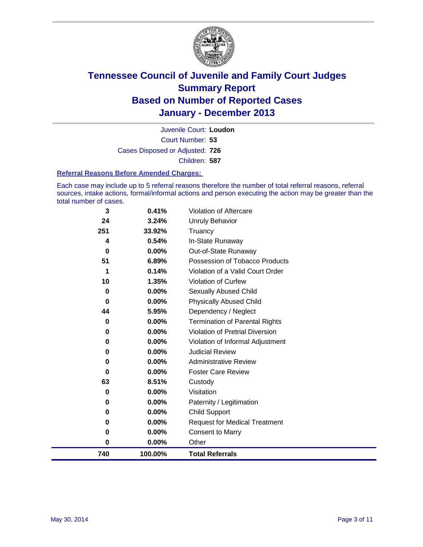

Court Number: **53** Juvenile Court: **Loudon** Cases Disposed or Adjusted: **726** Children: **587**

#### **Referral Reasons Before Amended Charges:**

Each case may include up to 5 referral reasons therefore the number of total referral reasons, referral sources, intake actions, formal/informal actions and person executing the action may be greater than the total number of cases.

| 0<br>0<br>0<br>0<br>$\bf{0}$<br>63<br>0<br>$\bf{0}$ | $0.00\%$<br>0.00%<br>$0.00\%$<br>$0.00\%$<br>$0.00\%$<br>8.51%<br>$0.00\%$<br>$0.00\%$ | <b>Violation of Pretrial Diversion</b><br>Violation of Informal Adjustment<br><b>Judicial Review</b><br><b>Administrative Review</b><br><b>Foster Care Review</b><br>Custody<br>Visitation<br>Paternity / Legitimation |
|-----------------------------------------------------|----------------------------------------------------------------------------------------|------------------------------------------------------------------------------------------------------------------------------------------------------------------------------------------------------------------------|
|                                                     |                                                                                        |                                                                                                                                                                                                                        |
|                                                     |                                                                                        |                                                                                                                                                                                                                        |
|                                                     |                                                                                        |                                                                                                                                                                                                                        |
|                                                     |                                                                                        |                                                                                                                                                                                                                        |
|                                                     |                                                                                        |                                                                                                                                                                                                                        |
|                                                     |                                                                                        |                                                                                                                                                                                                                        |
|                                                     |                                                                                        |                                                                                                                                                                                                                        |
| $\bf{0}$                                            | $0.00\%$                                                                               | <b>Termination of Parental Rights</b>                                                                                                                                                                                  |
| 44                                                  | 5.95%                                                                                  | Dependency / Neglect                                                                                                                                                                                                   |
| $\bf{0}$                                            | $0.00\%$                                                                               | <b>Physically Abused Child</b>                                                                                                                                                                                         |
| 0                                                   | $0.00\%$                                                                               | Sexually Abused Child                                                                                                                                                                                                  |
| 10                                                  | 1.35%                                                                                  | <b>Violation of Curfew</b>                                                                                                                                                                                             |
| 1                                                   |                                                                                        | Violation of a Valid Court Order                                                                                                                                                                                       |
|                                                     |                                                                                        | Possession of Tobacco Products                                                                                                                                                                                         |
|                                                     |                                                                                        | Out-of-State Runaway                                                                                                                                                                                                   |
|                                                     |                                                                                        | In-State Runaway                                                                                                                                                                                                       |
|                                                     |                                                                                        | Unruly Behavior<br>Truancy                                                                                                                                                                                             |
|                                                     |                                                                                        | <b>Violation of Aftercare</b>                                                                                                                                                                                          |
|                                                     | 3<br>24<br>251<br>4<br>$\bf{0}$<br>51                                                  | 0.41%<br>3.24%<br>33.92%<br>0.54%<br>$0.00\%$<br>6.89%<br>0.14%                                                                                                                                                        |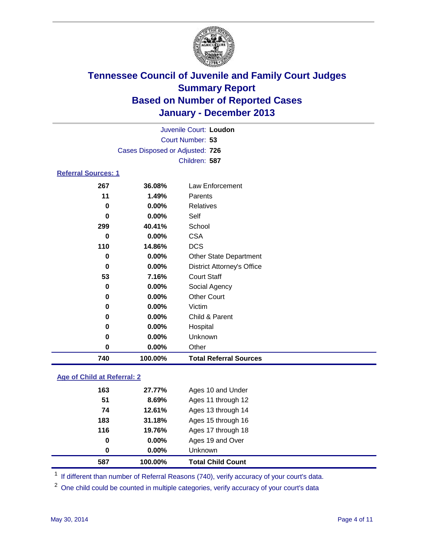

|                            | Juvenile Court: Loudon          |                                   |  |  |  |  |
|----------------------------|---------------------------------|-----------------------------------|--|--|--|--|
|                            | Court Number: 53                |                                   |  |  |  |  |
|                            | Cases Disposed or Adjusted: 726 |                                   |  |  |  |  |
|                            |                                 | Children: 587                     |  |  |  |  |
| <b>Referral Sources: 1</b> |                                 |                                   |  |  |  |  |
| 267                        | 36.08%                          | Law Enforcement                   |  |  |  |  |
| 11                         | 1.49%                           | Parents                           |  |  |  |  |
| 0                          | 0.00%                           | <b>Relatives</b>                  |  |  |  |  |
| 0                          | 0.00%                           | Self                              |  |  |  |  |
| 299                        | 40.41%                          | School                            |  |  |  |  |
| 0                          | 0.00%                           | <b>CSA</b>                        |  |  |  |  |
| 110                        | 14.86%                          | <b>DCS</b>                        |  |  |  |  |
| 0                          | 0.00%                           | <b>Other State Department</b>     |  |  |  |  |
| 0                          | 0.00%                           | <b>District Attorney's Office</b> |  |  |  |  |
| 53                         | 7.16%                           | <b>Court Staff</b>                |  |  |  |  |
| 0                          | 0.00%                           | Social Agency                     |  |  |  |  |
| 0                          | 0.00%                           | <b>Other Court</b>                |  |  |  |  |
| 0                          | 0.00%                           | Victim                            |  |  |  |  |
| 0                          | 0.00%                           | Child & Parent                    |  |  |  |  |
| 0                          | 0.00%                           | Hospital                          |  |  |  |  |
| $\bf{0}$                   | 0.00%                           | Unknown                           |  |  |  |  |
| 0                          | 0.00%                           | Other                             |  |  |  |  |
| 740                        | 100.00%                         | <b>Total Referral Sources</b>     |  |  |  |  |

### **Age of Child at Referral: 2**

| 0<br>0 | $0.00\%$<br>0.00% | Ages 19 and Over<br><b>Unknown</b> |  |
|--------|-------------------|------------------------------------|--|
|        |                   |                                    |  |
|        |                   |                                    |  |
|        |                   | Ages 17 through 18                 |  |
| 183    | 31.18%            | Ages 15 through 16                 |  |
| 74     | 12.61%            | Ages 13 through 14                 |  |
| 51     | 8.69%             | Ages 11 through 12                 |  |
| 163    | 27.77%            | Ages 10 and Under                  |  |
|        |                   | 116<br>19.76%                      |  |

<sup>1</sup> If different than number of Referral Reasons (740), verify accuracy of your court's data.

<sup>2</sup> One child could be counted in multiple categories, verify accuracy of your court's data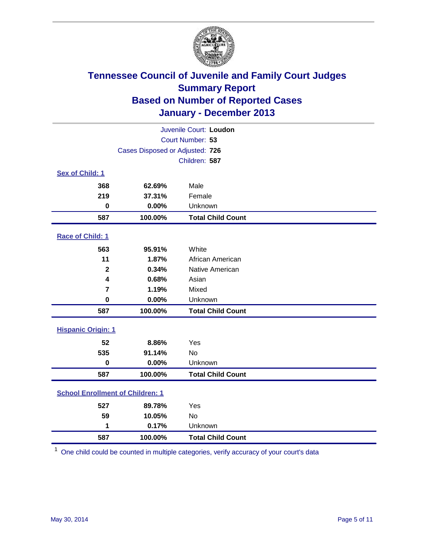

| Juvenile Court: Loudon                  |               |                          |  |  |
|-----------------------------------------|---------------|--------------------------|--|--|
| Court Number: 53                        |               |                          |  |  |
| Cases Disposed or Adjusted: 726         |               |                          |  |  |
|                                         | Children: 587 |                          |  |  |
| Sex of Child: 1                         |               |                          |  |  |
| 368                                     | 62.69%        | Male                     |  |  |
| 219                                     | 37.31%        | Female                   |  |  |
| $\bf{0}$                                | 0.00%         | Unknown                  |  |  |
| 587                                     | 100.00%       | <b>Total Child Count</b> |  |  |
| Race of Child: 1                        |               |                          |  |  |
| 563                                     | 95.91%        | White                    |  |  |
| 11                                      | 1.87%         | African American         |  |  |
| $\mathbf{2}$                            | 0.34%         | Native American          |  |  |
| $\overline{\mathbf{4}}$                 | 0.68%         | Asian                    |  |  |
| $\overline{\mathbf{r}}$                 | 1.19%         | Mixed                    |  |  |
| $\mathbf 0$                             | 0.00%         | Unknown                  |  |  |
| 587                                     | 100.00%       | <b>Total Child Count</b> |  |  |
| <b>Hispanic Origin: 1</b>               |               |                          |  |  |
| 52                                      | 8.86%         | Yes                      |  |  |
| 535                                     | 91.14%        | <b>No</b>                |  |  |
| $\mathbf 0$                             | 0.00%         | Unknown                  |  |  |
| 587                                     | 100.00%       | <b>Total Child Count</b> |  |  |
| <b>School Enrollment of Children: 1</b> |               |                          |  |  |
| 527                                     | 89.78%        | Yes                      |  |  |
| 59                                      | 10.05%        | <b>No</b>                |  |  |
| 1                                       | 0.17%         | Unknown                  |  |  |
| 587                                     | 100.00%       | <b>Total Child Count</b> |  |  |

One child could be counted in multiple categories, verify accuracy of your court's data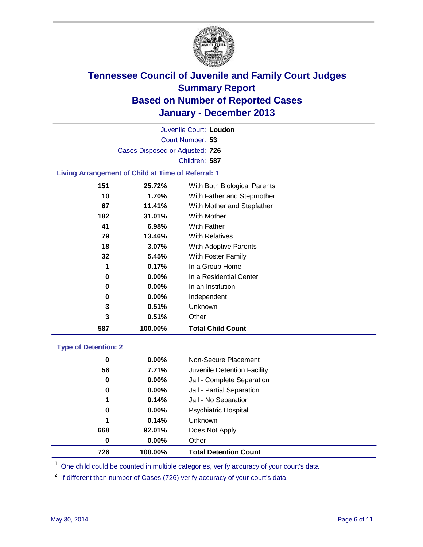

Court Number: **53** Juvenile Court: **Loudon** Cases Disposed or Adjusted: **726** Children: **587**

### **Living Arrangement of Child at Time of Referral: 1**

| 587 | 100.00%  | <b>Total Child Count</b>     |  |
|-----|----------|------------------------------|--|
| 3   | 0.51%    | Other                        |  |
| 3   | 0.51%    | Unknown                      |  |
| 0   | $0.00\%$ | Independent                  |  |
| 0   | $0.00\%$ | In an Institution            |  |
| 0   | $0.00\%$ | In a Residential Center      |  |
| 1   | 0.17%    | In a Group Home              |  |
| 32  | 5.45%    | With Foster Family           |  |
| 18  | 3.07%    | With Adoptive Parents        |  |
| 79  | 13.46%   | <b>With Relatives</b>        |  |
| 41  | 6.98%    | With Father                  |  |
| 182 | 31.01%   | With Mother                  |  |
| 67  | 11.41%   | With Mother and Stepfather   |  |
| 10  | 1.70%    | With Father and Stepmother   |  |
| 151 | 25.72%   | With Both Biological Parents |  |
|     |          |                              |  |

### **Type of Detention: 2**

| 726 | 100.00%  | <b>Total Detention Count</b> |  |
|-----|----------|------------------------------|--|
| 0   | 0.00%    | Other                        |  |
| 668 | 92.01%   | Does Not Apply               |  |
| 1   | 0.14%    | <b>Unknown</b>               |  |
| 0   | $0.00\%$ | <b>Psychiatric Hospital</b>  |  |
| 1   | 0.14%    | Jail - No Separation         |  |
| 0   | $0.00\%$ | Jail - Partial Separation    |  |
| 0   | 0.00%    | Jail - Complete Separation   |  |
| 56  | 7.71%    | Juvenile Detention Facility  |  |
| 0   | 0.00%    | Non-Secure Placement         |  |
|     |          |                              |  |

<sup>1</sup> One child could be counted in multiple categories, verify accuracy of your court's data

If different than number of Cases (726) verify accuracy of your court's data.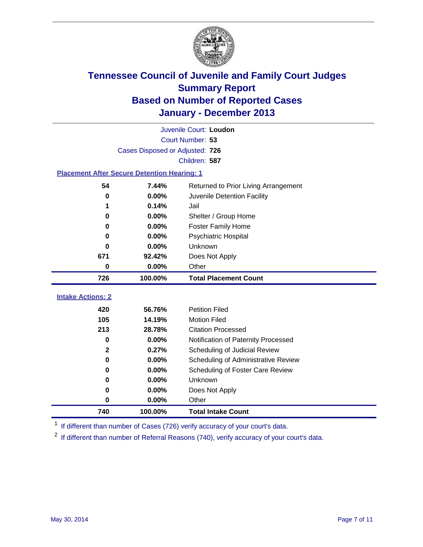

|                                                    | Juvenile Court: Loudon          |                                      |  |  |  |
|----------------------------------------------------|---------------------------------|--------------------------------------|--|--|--|
|                                                    |                                 | Court Number: 53                     |  |  |  |
|                                                    | Cases Disposed or Adjusted: 726 |                                      |  |  |  |
|                                                    |                                 | Children: 587                        |  |  |  |
| <b>Placement After Secure Detention Hearing: 1</b> |                                 |                                      |  |  |  |
| 54                                                 | 7.44%                           | Returned to Prior Living Arrangement |  |  |  |
| $\bf{0}$                                           | 0.00%                           | Juvenile Detention Facility          |  |  |  |
| 1                                                  | 0.14%                           | Jail                                 |  |  |  |
| 0                                                  | 0.00%                           | Shelter / Group Home                 |  |  |  |
| 0                                                  | 0.00%                           | <b>Foster Family Home</b>            |  |  |  |
| 0                                                  | 0.00%                           | <b>Psychiatric Hospital</b>          |  |  |  |
| 0                                                  | 0.00%                           | Unknown                              |  |  |  |
| 671                                                | 92.42%                          | Does Not Apply                       |  |  |  |
| 0                                                  | 0.00%                           | Other                                |  |  |  |
| 726                                                | 100.00%                         | <b>Total Placement Count</b>         |  |  |  |
| <b>Intake Actions: 2</b>                           |                                 |                                      |  |  |  |
| 420                                                |                                 |                                      |  |  |  |
|                                                    | 56.76%                          | <b>Petition Filed</b>                |  |  |  |
| 105                                                | 14.19%                          | <b>Motion Filed</b>                  |  |  |  |
| 213                                                | 28.78%                          | <b>Citation Processed</b>            |  |  |  |
| $\bf{0}$                                           | 0.00%                           | Notification of Paternity Processed  |  |  |  |
| $\mathbf{2}$                                       | 0.27%                           | Scheduling of Judicial Review        |  |  |  |
| 0                                                  | 0.00%                           | Scheduling of Administrative Review  |  |  |  |
| 0                                                  | 0.00%                           | Scheduling of Foster Care Review     |  |  |  |
| 0                                                  | 0.00%                           | Unknown                              |  |  |  |
| 0                                                  | 0.00%                           | Does Not Apply                       |  |  |  |
| 0                                                  | 0.00%                           | Other                                |  |  |  |

<sup>1</sup> If different than number of Cases (726) verify accuracy of your court's data.

If different than number of Referral Reasons (740), verify accuracy of your court's data.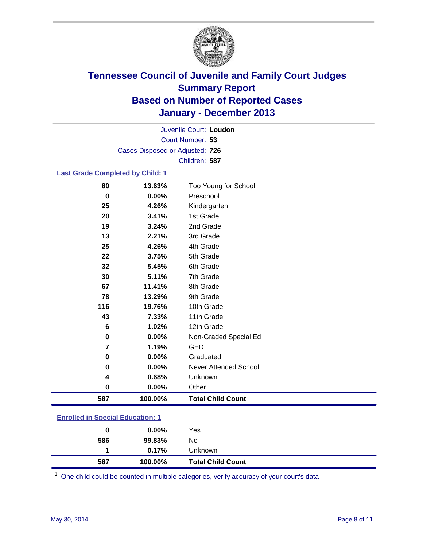

Court Number: **53** Juvenile Court: **Loudon** Cases Disposed or Adjusted: **726** Children: **587**

#### **Last Grade Completed by Child: 1**

| 80       | 13.63%   | Too Young for School     |
|----------|----------|--------------------------|
| $\bf{0}$ | 0.00%    | Preschool                |
| 25       | 4.26%    | Kindergarten             |
| 20       | 3.41%    | 1st Grade                |
| 19       | 3.24%    | 2nd Grade                |
| 13       | 2.21%    | 3rd Grade                |
| 25       | 4.26%    | 4th Grade                |
| 22       | 3.75%    | 5th Grade                |
| 32       | 5.45%    | 6th Grade                |
| 30       | 5.11%    | 7th Grade                |
| 67       | 11.41%   | 8th Grade                |
| 78       | 13.29%   | 9th Grade                |
| 116      | 19.76%   | 10th Grade               |
| 43       | 7.33%    | 11th Grade               |
| 6        | 1.02%    | 12th Grade               |
| 0        | 0.00%    | Non-Graded Special Ed    |
| 7        | 1.19%    | <b>GED</b>               |
| 0        | 0.00%    | Graduated                |
| 0        | 0.00%    | Never Attended School    |
| 4        | 0.68%    | Unknown                  |
| 0        | $0.00\%$ | Other                    |
| 587      | 100.00%  | <b>Total Child Count</b> |

| <b>Enrolled in Special Education: 1</b> |
|-----------------------------------------|
|-----------------------------------------|

| 586 | 99.83%<br>$0.17\%$ | No<br><b>Unknown</b>     |  |
|-----|--------------------|--------------------------|--|
| 587 | 100.00%            | <b>Total Child Count</b> |  |

One child could be counted in multiple categories, verify accuracy of your court's data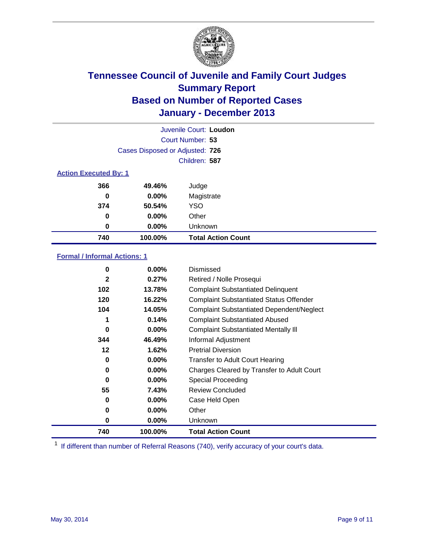

|                              |                                 | Juvenile Court: Loudon    |
|------------------------------|---------------------------------|---------------------------|
|                              |                                 | Court Number: 53          |
|                              | Cases Disposed or Adjusted: 726 |                           |
|                              |                                 | Children: 587             |
| <b>Action Executed By: 1</b> |                                 |                           |
| 366                          | 49.46%                          | Judge                     |
| 0                            | $0.00\%$                        | Magistrate                |
| 374                          | 50.54%                          | <b>YSO</b>                |
| 0                            | $0.00\%$                        | Other                     |
| 0                            | $0.00\%$                        | Unknown                   |
| 740                          | 100.00%                         | <b>Total Action Count</b> |

### **Formal / Informal Actions: 1**

| 0            | $0.00\%$ | Dismissed                                        |
|--------------|----------|--------------------------------------------------|
| $\mathbf{2}$ | 0.27%    | Retired / Nolle Prosequi                         |
| 102          | 13.78%   | <b>Complaint Substantiated Delinquent</b>        |
| 120          | 16.22%   | <b>Complaint Substantiated Status Offender</b>   |
| 104          | 14.05%   | <b>Complaint Substantiated Dependent/Neglect</b> |
|              | 0.14%    | <b>Complaint Substantiated Abused</b>            |
| $\bf{0}$     | 0.00%    | <b>Complaint Substantiated Mentally III</b>      |
| 344          | 46.49%   | Informal Adjustment                              |
| $12 \,$      | 1.62%    | <b>Pretrial Diversion</b>                        |
| 0            | 0.00%    | <b>Transfer to Adult Court Hearing</b>           |
| 0            | 0.00%    | Charges Cleared by Transfer to Adult Court       |
| 0            | 0.00%    | Special Proceeding                               |
| 55           | 7.43%    | <b>Review Concluded</b>                          |
| 0            | $0.00\%$ | Case Held Open                                   |
| 0            | $0.00\%$ | Other                                            |
| 0            | $0.00\%$ | Unknown                                          |
| 740          | 100.00%  | <b>Total Action Count</b>                        |

<sup>1</sup> If different than number of Referral Reasons (740), verify accuracy of your court's data.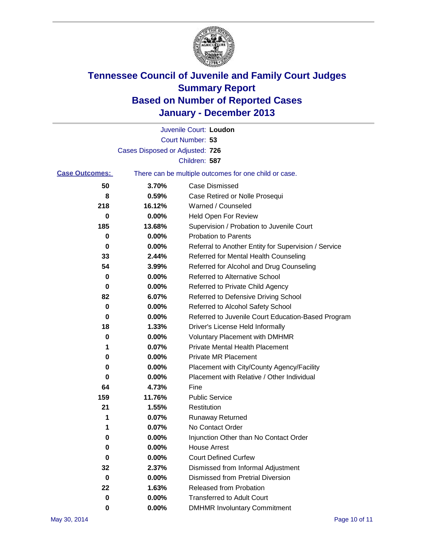

|                       |                                 | Juvenile Court: Loudon                                |
|-----------------------|---------------------------------|-------------------------------------------------------|
|                       |                                 | Court Number: 53                                      |
|                       | Cases Disposed or Adjusted: 726 |                                                       |
|                       |                                 | Children: 587                                         |
| <b>Case Outcomes:</b> |                                 | There can be multiple outcomes for one child or case. |
| 50                    | 3.70%                           | Case Dismissed                                        |
| 8                     | 0.59%                           | Case Retired or Nolle Prosequi                        |
| 218                   | 16.12%                          | Warned / Counseled                                    |
| 0                     | 0.00%                           | Held Open For Review                                  |
| 185                   | 13.68%                          | Supervision / Probation to Juvenile Court             |
| 0                     | 0.00%                           | <b>Probation to Parents</b>                           |
| 0                     | 0.00%                           | Referral to Another Entity for Supervision / Service  |
| 33                    | 2.44%                           | Referred for Mental Health Counseling                 |
| 54                    | 3.99%                           | Referred for Alcohol and Drug Counseling              |
| 0                     | 0.00%                           | <b>Referred to Alternative School</b>                 |
| 0                     | 0.00%                           | Referred to Private Child Agency                      |
| 82                    | 6.07%                           | Referred to Defensive Driving School                  |
| 0                     | 0.00%                           | Referred to Alcohol Safety School                     |
| 0                     | 0.00%                           | Referred to Juvenile Court Education-Based Program    |
| 18                    | 1.33%                           | Driver's License Held Informally                      |
| 0                     | 0.00%                           | <b>Voluntary Placement with DMHMR</b>                 |
| 1                     | 0.07%                           | <b>Private Mental Health Placement</b>                |
| 0                     | 0.00%                           | <b>Private MR Placement</b>                           |
| 0                     | 0.00%                           | Placement with City/County Agency/Facility            |
| 0                     | 0.00%                           | Placement with Relative / Other Individual            |
| 64                    | 4.73%                           | Fine                                                  |
| 159                   | 11.76%                          | <b>Public Service</b>                                 |
| 21                    | 1.55%                           | Restitution                                           |
| 1                     | 0.07%                           | <b>Runaway Returned</b>                               |
| 1                     | 0.07%                           | No Contact Order                                      |
| 0                     | 0.00%                           | Injunction Other than No Contact Order                |
| 0                     | 0.00%                           | <b>House Arrest</b>                                   |
| 0                     | 0.00%                           | <b>Court Defined Curfew</b>                           |
| 32                    | 2.37%                           | Dismissed from Informal Adjustment                    |
| 0                     | 0.00%                           | <b>Dismissed from Pretrial Diversion</b>              |
| 22                    | 1.63%                           | Released from Probation                               |
| 0                     | 0.00%                           | <b>Transferred to Adult Court</b>                     |
| 0                     | $0.00\%$                        | <b>DMHMR Involuntary Commitment</b>                   |